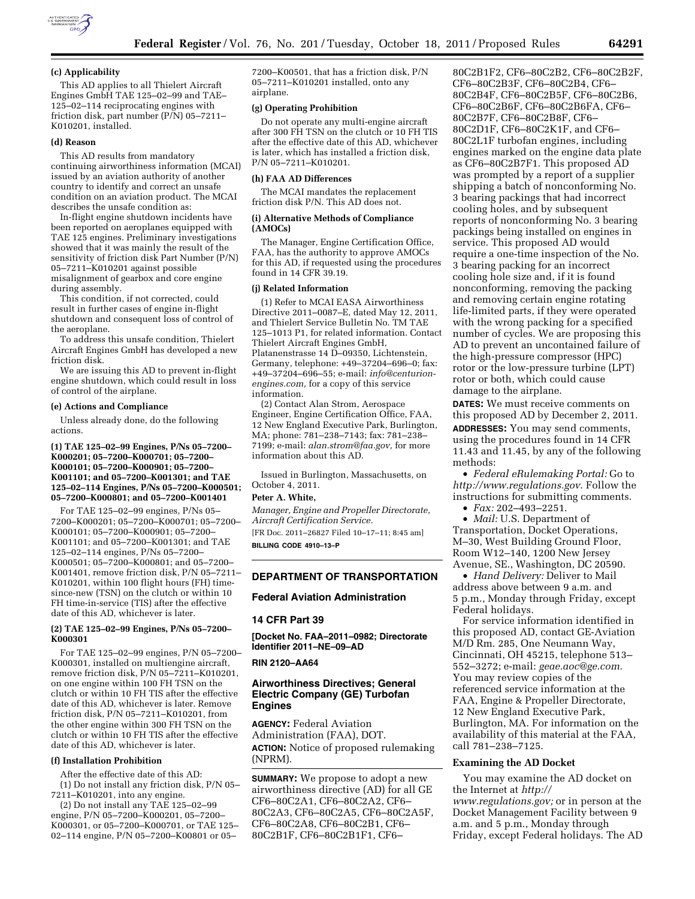

### **(c) Applicability**

This AD applies to all Thielert Aircraft Engines GmbH TAE 125–02–99 and TAE– 125–02–114 reciprocating engines with friction disk, part number (P/N) 05–7211– K010201, installed.

## **(d) Reason**

This AD results from mandatory continuing airworthiness information (MCAI) issued by an aviation authority of another country to identify and correct an unsafe condition on an aviation product. The MCAI describes the unsafe condition as:

In-flight engine shutdown incidents have been reported on aeroplanes equipped with TAE 125 engines. Preliminary investigations showed that it was mainly the result of the sensitivity of friction disk Part Number (P/N) 05–7211–K010201 against possible misalignment of gearbox and core engine during assembly.

This condition, if not corrected, could result in further cases of engine in-flight shutdown and consequent loss of control of the aeroplane.

To address this unsafe condition, Thielert Aircraft Engines GmbH has developed a new friction disk.

We are issuing this AD to prevent in-flight engine shutdown, which could result in loss of control of the airplane.

#### **(e) Actions and Compliance**

Unless already done, do the following actions.

#### **(1) TAE 125–02–99 Engines, P/Ns 05–7200– K000201; 05–7200–K000701; 05–7200– K000101; 05–7200–K000901; 05–7200– K001101; and 05–7200–K001301; and TAE 125–02–114 Engines, P/Ns 05–7200–K000501; 05–7200–K000801; and 05–7200–K001401**

For TAE 125–02–99 engines, P/Ns 05– 7200–K000201; 05–7200–K000701; 05–7200– K000101; 05–7200–K000901; 05–7200– K001101; and 05–7200–K001301; and TAE 125–02–114 engines, P/Ns 05–7200– K000501; 05–7200–K000801; and 05–7200– K001401, remove friction disk, P/N 05–7211– K010201, within 100 flight hours (FH) timesince-new (TSN) on the clutch or within 10 FH time-in-service (TIS) after the effective date of this AD, whichever is later.

## **(2) TAE 125–02–99 Engines, P/Ns 05–7200– K000301**

For TAE 125–02–99 engines, P/N 05–7200– K000301, installed on multiengine aircraft, remove friction disk, P/N 05–7211–K010201, on one engine within 100 FH TSN on the clutch or within 10 FH TIS after the effective date of this AD, whichever is later. Remove friction disk, P/N 05–7211–K010201, from the other engine within 300 FH TSN on the clutch or within 10 FH TIS after the effective date of this AD, whichever is later.

## **(f) Installation Prohibition**

After the effective date of this AD: (1) Do not install any friction disk, P/N 05– 7211–K010201, into any engine.

(2) Do not install any TAE 125–02–99 engine, P/N 05–7200–K000201, 05–7200– K000301, or 05–7200–K000701, or TAE 125– 02–114 engine, P/N 05–7200–K00801 or 05–

7200–K00501, that has a friction disk, P/N 05–7211–K010201 installed, onto any airplane.

### **(g) Operating Prohibition**

Do not operate any multi-engine aircraft after 300 FH TSN on the clutch or 10 FH TIS after the effective date of this AD, whichever is later, which has installed a friction disk, P/N 05–7211–K010201.

#### **(h) FAA AD Differences**

The MCAI mandates the replacement friction disk P/N. This AD does not.

# **(i) Alternative Methods of Compliance (AMOCs)**

The Manager, Engine Certification Office, FAA, has the authority to approve AMOCs for this AD, if requested using the procedures found in 14 CFR 39.19.

#### **(j) Related Information**

(1) Refer to MCAI EASA Airworthiness Directive 2011–0087–E, dated May 12, 2011, and Thielert Service Bulletin No. TM TAE 125–1013 P1, for related information. Contact Thielert Aircraft Engines GmbH, Platanenstrasse 14 D–09350, Lichtenstein, Germany, telephone: +49–37204–696–0; fax: +49–37204–696–55; e-mail: *[info@centurion](mailto:info@centurion-engines.com)[engines.com,](mailto:info@centurion-engines.com)* for a copy of this service information.

(2) Contact Alan Strom, Aerospace Engineer, Engine Certification Office, FAA, 12 New England Executive Park, Burlington, MA; phone: 781–238–7143; fax: 781–238– 7199; e-mail: *[alan.strom@faa.gov,](mailto:alan.strom@faa.gov)* for more information about this AD.

Issued in Burlington, Massachusetts, on October 4, 2011.

### **Peter A. White,**

*Manager, Engine and Propeller Directorate, Aircraft Certification Service.*  [FR Doc. 2011–26827 Filed 10–17–11; 8:45 am]

**BILLING CODE 4910–13–P** 

## **DEPARTMENT OF TRANSPORTATION**

# **Federal Aviation Administration**

#### **14 CFR Part 39**

**[Docket No. FAA–2011–0982; Directorate Identifier 2011–NE–09–AD** 

## **RIN 2120–AA64**

# **Airworthiness Directives; General Electric Company (GE) Turbofan Engines**

**AGENCY:** Federal Aviation Administration (FAA), DOT. **ACTION:** Notice of proposed rulemaking (NPRM).

**SUMMARY:** We propose to adopt a new airworthiness directive (AD) for all GE CF6–80C2A1, CF6–80C2A2, CF6– 80C2A3, CF6–80C2A5, CF6–80C2A5F, CF6–80C2A8, CF6–80C2B1, CF6– 80C2B1F, CF6–80C2B1F1, CF6–

80C2B1F2, CF6–80C2B2, CF6–80C2B2F, CF6–80C2B3F, CF6–80C2B4, CF6– 80C2B4F, CF6–80C2B5F, CF6–80C2B6, CF6–80C2B6F, CF6–80C2B6FA, CF6– 80C2B7F, CF6–80C2B8F, CF6– 80C2D1F, CF6–80C2K1F, and CF6– 80C2L1F turbofan engines, including engines marked on the engine data plate as CF6–80C2B7F1. This proposed AD was prompted by a report of a supplier shipping a batch of nonconforming No. 3 bearing packings that had incorrect cooling holes, and by subsequent reports of nonconforming No. 3 bearing packings being installed on engines in service. This proposed AD would require a one-time inspection of the No. 3 bearing packing for an incorrect cooling hole size and, if it is found nonconforming, removing the packing and removing certain engine rotating life-limited parts, if they were operated with the wrong packing for a specified number of cycles. We are proposing this AD to prevent an uncontained failure of the high-pressure compressor (HPC) rotor or the low-pressure turbine (LPT) rotor or both, which could cause damage to the airplane.

**DATES:** We must receive comments on this proposed AD by December 2, 2011. **ADDRESSES:** You may send comments, using the procedures found in 14 CFR 11.43 and 11.45, by any of the following methods:

• *Federal eRulemaking Portal:* Go to *<http://www.regulations.gov>*. Follow the instructions for submitting comments.

• *Fax:* 202–493–2251.

• *Mail:* U.S. Department of Transportation, Docket Operations, M–30, West Building Ground Floor, Room W12–140, 1200 New Jersey Avenue, SE., Washington, DC 20590.

• *Hand Delivery:* Deliver to Mail address above between 9 a.m. and 5 p.m., Monday through Friday, except Federal holidays.

For service information identified in this proposed AD, contact GE-Aviation M/D Rm. 285, One Neumann Way, Cincinnati, OH 45215, telephone 513– 552–3272; e-mail: *[geae.aoc@ge.com.](mailto:geae.aoc@ge.com)*  You may review copies of the referenced service information at the FAA, Engine & Propeller Directorate, 12 New England Executive Park, Burlington, MA. For information on the availability of this material at the FAA, call 781–238–7125.

### **Examining the AD Docket**

You may examine the AD docket on the Internet at *[http://](http://www.regulations.gov)  [www.regulations.gov;](http://www.regulations.gov)* or in person at the Docket Management Facility between 9 a.m. and 5 p.m., Monday through Friday, except Federal holidays. The AD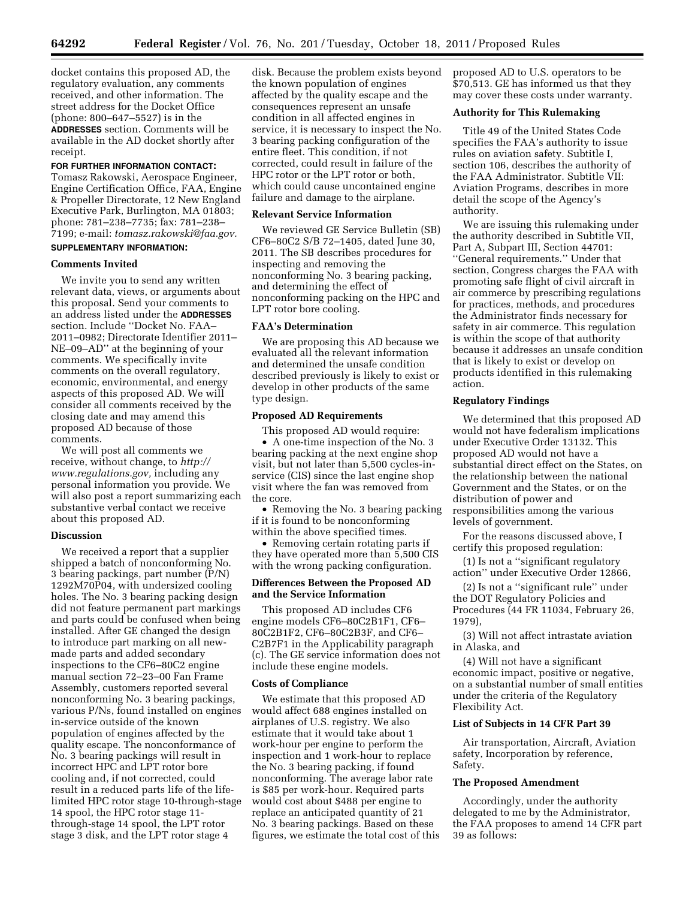docket contains this proposed AD, the regulatory evaluation, any comments received, and other information. The street address for the Docket Office (phone: 800–647–5527) is in the **ADDRESSES** section. Comments will be available in the AD docket shortly after receipt.

### **FOR FURTHER INFORMATION CONTACT:**

Tomasz Rakowski, Aerospace Engineer, Engine Certification Office, FAA, Engine & Propeller Directorate, 12 New England Executive Park, Burlington, MA 01803; phone: 781–238–7735; fax: 781–238– 7199; e-mail: *[tomasz.rakowski@faa.gov.](mailto:tomasz.rakowski@faa.gov)*  **SUPPLEMENTARY INFORMATION:** 

#### **Comments Invited**

We invite you to send any written relevant data, views, or arguments about this proposal. Send your comments to an address listed under the **ADDRESSES** section. Include ''Docket No. FAA– 2011–0982; Directorate Identifier 2011– NE–09–AD'' at the beginning of your comments. We specifically invite comments on the overall regulatory, economic, environmental, and energy aspects of this proposed AD. We will consider all comments received by the closing date and may amend this proposed AD because of those comments.

We will post all comments we receive, without change, to *[http://](http://www.regulations.gov) [www.regulations.gov,](http://www.regulations.gov)* including any personal information you provide. We will also post a report summarizing each substantive verbal contact we receive about this proposed AD.

## **Discussion**

We received a report that a supplier shipped a batch of nonconforming No. 3 bearing packings, part number (P/N) 1292M70P04, with undersized cooling holes. The No. 3 bearing packing design did not feature permanent part markings and parts could be confused when being installed. After GE changed the design to introduce part marking on all newmade parts and added secondary inspections to the CF6–80C2 engine manual section 72–23–00 Fan Frame Assembly, customers reported several nonconforming No. 3 bearing packings, various P/Ns, found installed on engines in-service outside of the known population of engines affected by the quality escape. The nonconformance of No. 3 bearing packings will result in incorrect HPC and LPT rotor bore cooling and, if not corrected, could result in a reduced parts life of the lifelimited HPC rotor stage 10-through-stage 14 spool, the HPC rotor stage 11 through-stage 14 spool, the LPT rotor stage 3 disk, and the LPT rotor stage 4

disk. Because the problem exists beyond the known population of engines affected by the quality escape and the consequences represent an unsafe condition in all affected engines in service, it is necessary to inspect the No. 3 bearing packing configuration of the entire fleet. This condition, if not corrected, could result in failure of the HPC rotor or the LPT rotor or both, which could cause uncontained engine failure and damage to the airplane.

### **Relevant Service Information**

We reviewed GE Service Bulletin (SB) CF6–80C2 S/B 72–1405, dated June 30, 2011. The SB describes procedures for inspecting and removing the nonconforming No. 3 bearing packing, and determining the effect of nonconforming packing on the HPC and LPT rotor bore cooling.

### **FAA's Determination**

We are proposing this AD because we evaluated all the relevant information and determined the unsafe condition described previously is likely to exist or develop in other products of the same type design.

# **Proposed AD Requirements**

This proposed AD would require: • A one-time inspection of the No. 3 bearing packing at the next engine shop visit, but not later than 5,500 cycles-inservice (CIS) since the last engine shop visit where the fan was removed from the core.

• Removing the No. 3 bearing packing if it is found to be nonconforming within the above specified times.

• Removing certain rotating parts if they have operated more than 5,500 CIS with the wrong packing configuration.

## **Differences Between the Proposed AD and the Service Information**

This proposed AD includes CF6 engine models CF6–80C2B1F1, CF6– 80C2B1F2, CF6–80C2B3F, and CF6– C2B7F1 in the Applicability paragraph (c). The GE service information does not include these engine models.

## **Costs of Compliance**

We estimate that this proposed AD would affect 688 engines installed on airplanes of U.S. registry. We also estimate that it would take about 1 work-hour per engine to perform the inspection and 1 work-hour to replace the No. 3 bearing packing, if found nonconforming. The average labor rate is \$85 per work-hour. Required parts would cost about \$488 per engine to replace an anticipated quantity of 21 No. 3 bearing packings. Based on these figures, we estimate the total cost of this proposed AD to U.S. operators to be \$70,513. GE has informed us that they may cover these costs under warranty.

## **Authority for This Rulemaking**

Title 49 of the United States Code specifies the FAA's authority to issue rules on aviation safety. Subtitle I, section 106, describes the authority of the FAA Administrator. Subtitle VII: Aviation Programs, describes in more detail the scope of the Agency's authority.

We are issuing this rulemaking under the authority described in Subtitle VII, Part A, Subpart III, Section 44701: ''General requirements.'' Under that section, Congress charges the FAA with promoting safe flight of civil aircraft in air commerce by prescribing regulations for practices, methods, and procedures the Administrator finds necessary for safety in air commerce. This regulation is within the scope of that authority because it addresses an unsafe condition that is likely to exist or develop on products identified in this rulemaking action.

## **Regulatory Findings**

We determined that this proposed AD would not have federalism implications under Executive Order 13132. This proposed AD would not have a substantial direct effect on the States, on the relationship between the national Government and the States, or on the distribution of power and responsibilities among the various levels of government.

For the reasons discussed above, I certify this proposed regulation:

(1) Is not a ''significant regulatory action'' under Executive Order 12866,

(2) Is not a ''significant rule'' under the DOT Regulatory Policies and Procedures (44 FR 11034, February 26, 1979),

(3) Will not affect intrastate aviation in Alaska, and

(4) Will not have a significant economic impact, positive or negative, on a substantial number of small entities under the criteria of the Regulatory Flexibility Act.

## **List of Subjects in 14 CFR Part 39**

Air transportation, Aircraft, Aviation safety, Incorporation by reference, Safety.

### **The Proposed Amendment**

Accordingly, under the authority delegated to me by the Administrator, the FAA proposes to amend 14 CFR part 39 as follows: